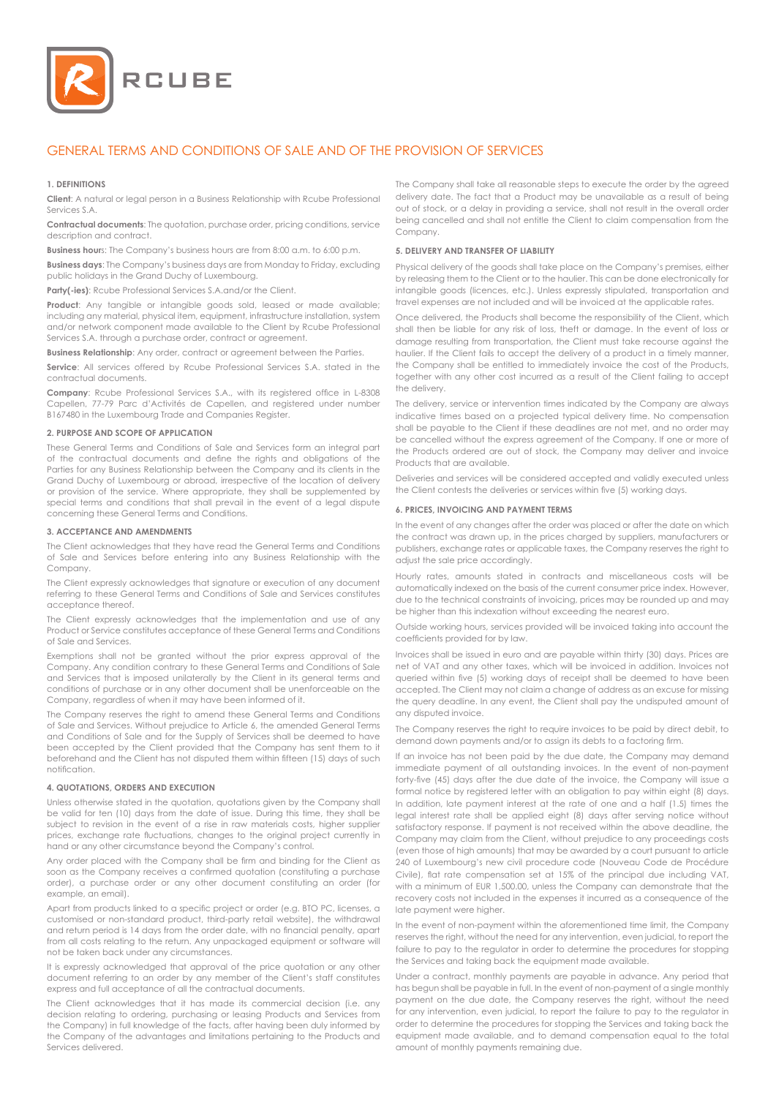

# GENERAL TERMS AND CONDITIONS OF SALE AND OF THE PROVISION OF SERVICES

#### **1. DEFINITIONS**

**Client**: A natural or legal person in a Business Relationship with Rcube Professional Services S.A.

**Contractual documents**: The quotation, purchase order, pricing conditions, service description and contract.

**Business hour**s: The Company's business hours are from 8:00 a.m. to 6:00 p.m.

**Business days**: The Company's business days are from Monday to Friday, excluding public holidays in the Grand Duchy of Luxembourg.

Party(-ies): Rcube Professional Services S.A.and/or the Client.

**Product:** Any tangible or intangible goods sold, leased or made available; including any material, physical item, equipment, infrastructure installation, system and/or network component made available to the Client by Rcube Professional Services S.A. through a purchase order, contract or agreement.

**Business Relationship**: Any order, contract or agreement between the Parties.

**Service**: All services offered by Rcube Professional Services S.A. stated in the contractual documents.

**Company**: Rcube Professional Services S.A., with its registered office in L-8308 Capellen, 77-79 Parc d'Activités de Capellen, and registered under number B167480 in the Luxembourg Trade and Companies Register.

#### **2. PURPOSE AND SCOPE OF APPLICATION**

These General Terms and Conditions of Sale and Services form an integral part of the contractual documents and define the rights and obligations of the Parties for any Business Relationship between the Company and its clients in the Grand Duchy of Luxembourg or abroad, irrespective of the location of delivery or provision of the service. Where appropriate, they shall be supplemented by special terms and conditions that shall prevail in the event of a legal dispute concerning these General Terms and Conditions.

#### **3. ACCEPTANCE AND AMENDMENTS**

The Client acknowledges that they have read the General Terms and Conditions of Sale and Services before entering into any Business Relationship with the Company.

The Client expressly acknowledges that signature or execution of any document referring to these General Terms and Conditions of Sale and Services constitutes acceptance thereof.

The Client expressly acknowledges that the implementation and use of any Product or Service constitutes acceptance of these General Terms and Conditions of Sale and Services.

Exemptions shall not be granted without the prior express approval of the Company. Any condition contrary to these General Terms and Conditions of Sale and Services that is imposed unilaterally by the Client in its general terms and conditions of purchase or in any other document shall be unenforceable on the Company, regardless of when it may have been informed of it.

The Company reserves the right to amend these General Terms and Conditions of Sale and Services. Without prejudice to Article 6, the amended General Terms and Conditions of Sale and for the Supply of Services shall be deemed to have been accepted by the Client provided that the Company has sent them to it beforehand and the Client has not disputed them within fifteen (15) days of such notification.

#### **4. QUOTATIONS, ORDERS AND EXECUTION**

Unless otherwise stated in the quotation, quotations given by the Company shall be valid for ten (10) days from the date of issue. During this time, they shall be subject to revision in the event of a rise in raw materials costs, higher supplier prices, exchange rate fluctuations, changes to the original project currently in hand or any other circumstance beyond the Company's control.

Any order placed with the Company shall be firm and binding for the Client as soon as the Company receives a confirmed quotation (constituting a purchase order), a purchase order or any other document constituting an order (for example, an email).

Apart from products linked to a specific project or order (e.g. BTO PC, licenses, a customised or non-standard product, third-party retail website), the withdrawal and return period is 14 days from the order date, with no financial penalty, apart from all costs relating to the return. Any unpackaged equipment or software will not be taken back under any circumstances.

It is expressly acknowledged that approval of the price quotation or any other document referring to an order by any member of the Client's staff constitutes express and full acceptance of all the contractual documents.

The Client acknowledges that it has made its commercial decision (i.e. any decision relating to ordering, purchasing or leasing Products and Services from the Company) in full knowledge of the facts, after having been duly informed by the Company of the advantages and limitations pertaining to the Products and Services delivered.

The Company shall take all reasonable steps to execute the order by the agreed delivery date. The fact that a Product may be unavailable as a result of being out of stock, or a delay in providing a service, shall not result in the overall order being cancelled and shall not entitle the Client to claim compensation from the Company.

#### **5. DELIVERY AND TRANSFER OF LIABILITY**

Physical delivery of the goods shall take place on the Company's premises, either by releasing them to the Client or to the haulier. This can be done electronically for intangible goods (licences, etc.). Unless expressly stipulated, transportation and travel expenses are not included and will be invoiced at the applicable rates.

Once delivered, the Products shall become the responsibility of the Client, which shall then be liable for any risk of loss, theft or damage. In the event of loss or damage resulting from transportation, the Client must take recourse against the haulier. If the Client fails to accept the delivery of a product in a timely manner, the Company shall be entitled to immediately invoice the cost of the Products, together with any other cost incurred as a result of the Client failing to accept the delivery.

The delivery, service or intervention times indicated by the Company are always indicative times based on a projected typical delivery time. No compensation shall be payable to the Client if these deadlines are not met, and no order may be cancelled without the express agreement of the Company. If one or more of the Products ordered are out of stock, the Company may deliver and invoice Products that are available.

Deliveries and services will be considered accepted and validly executed unless the Client contests the deliveries or services within five (5) working days.

# **6. PRICES, INVOICING AND PAYMENT TERMS**

In the event of any changes after the order was placed or after the date on which the contract was drawn up, in the prices charged by suppliers, manufacturers or publishers, exchange rates or applicable taxes, the Company reserves the right to adiust the sale price accordingly.

Hourly rates, amounts stated in contracts and miscellaneous costs will be automatically indexed on the basis of the current consumer price index. However, due to the technical constraints of invoicing, prices may be rounded up and may be higher than this indexation without exceeding the nearest euro.

Outside working hours, services provided will be invoiced taking into account the coefficients provided for by law.

Invoices shall be issued in euro and are payable within thirty (30) days. Prices are net of VAT and any other taxes, which will be invoiced in addition. Invoices not queried within five (5) working days of receipt shall be deemed to have been accepted. The Client may not claim a change of address as an excuse for missing the query deadline. In any event, the Client shall pay the undisputed amount of any disputed invoice.

The Company reserves the right to require invoices to be paid by direct debit, to demand down payments and/or to assign its debts to a factoring firm.

If an invoice has not been paid by the due date, the Company may demand immediate payment of all outstanding invoices. In the event of non-payment forty-five (45) days after the due date of the invoice, the Company will issue a formal notice by registered letter with an obligation to pay within eight (8) days. In addition, late payment interest at the rate of one and a half (1.5) times the legal interest rate shall be applied eight (8) days after serving notice without satisfactory response. If payment is not received within the above deadline, the Company may claim from the Client, without prejudice to any proceedings costs (even those of high amounts) that may be awarded by a court pursuant to article 240 of Luxembourg's new civil procedure code (Nouveau Code de Procédure Civile), flat rate compensation set at 15% of the principal due including VAT, with a minimum of EUR 1,500.00, unless the Company can demonstrate that the recovery costs not included in the expenses it incurred as a consequence of the late payment were higher.

In the event of non-payment within the aforementioned time limit, the Company reserves the right, without the need for any intervention, even judicial, to report the failure to pay to the regulator in order to determine the procedures for stopping the Services and taking back the equipment made available.

Under a contract, monthly payments are payable in advance. Any period that has begun shall be payable in full. In the event of non-payment of a single monthly payment on the due date, the Company reserves the right, without the need for any intervention, even judicial, to report the failure to pay to the regulator in order to determine the procedures for stopping the Services and taking back the equipment made available, and to demand compensation equal to the total amount of monthly payments remaining due.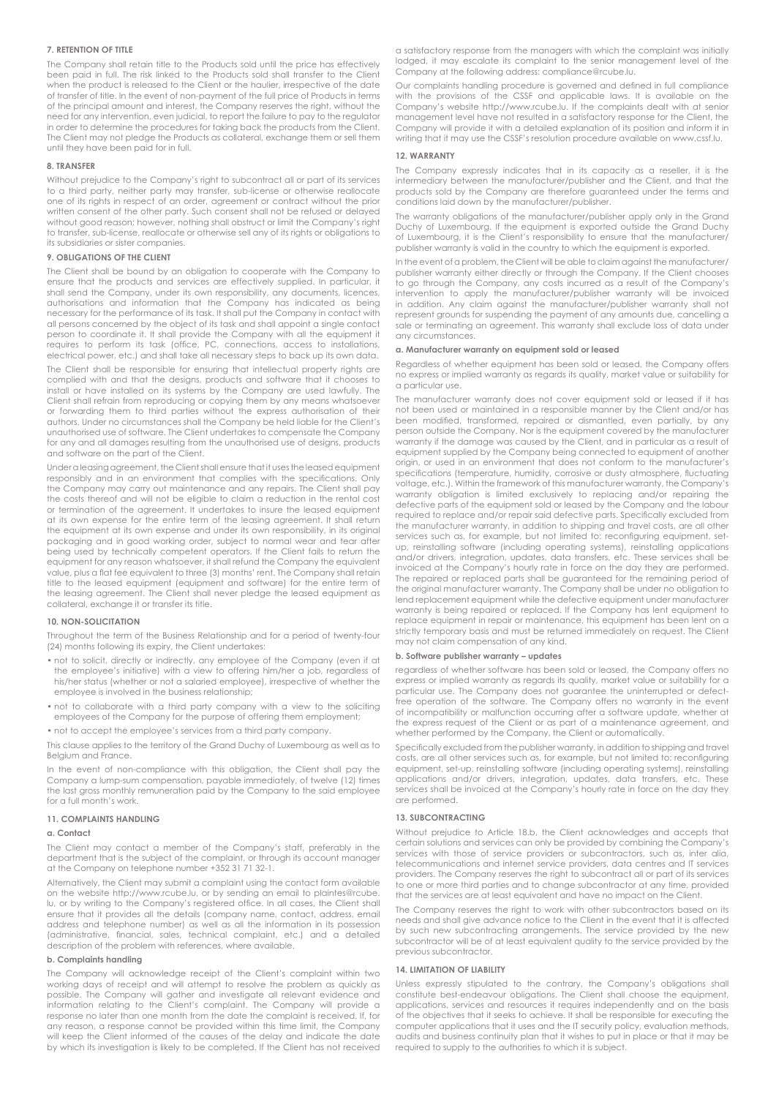# **7. RETENTION OF TITLE**

The Company shall retain title to the Products sold until the price has effectively been paid in full. The risk linked to the Products sold shall transfer to the Client when the product is released to the Client or the haulier, irrespective of the date of transfer of title. In the event of non-payment of the full price of Products in terms of the principal amount and interest, the Company reserves the right, without the need for any intervention, even judicial, to report the failure to pay to the regulator in order to determine the procedures for taking back the products from the Client. The Client may not pledge the Products as collateral, exchange them or sell them until they have been paid for in full.

#### **8. TRANSFER**

Without prejudice to the Company's right to subcontract all or part of its services to a third party, neither party may transfer, sub-license or otherwise reallocate one of its rights in respect of an order, agreement or contract without the prior written consent of the other party. Such consent shall not be refused or delayed without good reason; however, nothing shall obstruct or limit the Company's right to transfer, sub-license, reallocate or otherwise sell any of its rights or obligations to its subsidiaries or sister companies.

#### **9. OBLIGATIONS OF THE CLIENT**

The Client shall be bound by an obligation to cooperate with the Company to ensure that the products and services are effectively supplied. In particular, it shall send the Company, under its own responsibility, any documents, licences, authorisations and information that the Company has indicated as being necessary for the performance of its task. It shall put the Company in contact with all persons concerned by the object of its task and shall appoint a single contact person to coordinate it. It shall provide the Company with all the equipment it requires to perform its task (office, PC, connections, access to installations, electrical power, etc.) and shall take all necessary steps to back up its own data.

The Client shall be responsible for ensuring that intellectual property rights are complied with and that the designs, products and software that it chooses to install or have installed on its systems by the Company are used lawfully. The Client shall refrain from reproducing or copying them by any means whatsoever or forwarding them to third parties without the express authorisation of their authors. Under no circumstances shall the Company be held liable for the Client's unauthorised use of software. The Client undertakes to compensate the Company for any and all damages resulting from the unauthorised use of designs, products and software on the part of the Client.

Under a leasing agreement, the Client shall ensure that it uses the leased equipment responsibly and in an environment that complies with the specifications. Only the Company may carry out maintenance and any repairs. The Client shall pay the costs thereof and will not be eligible to claim a reduction in the rental cost or termination of the agreement. It undertakes to insure the leased equipment at its own expense for the entire term of the leasing agreement. It shall return the equipment at its own expense and under its own responsibility, in its original packaging and in good working order, subject to normal wear and tear after being used by technically competent operators. If the Client fails to return the equipment for any reason whatsoever, it shall refund the Company the equivalent value, plus a flat fee equivalent to three (3) months' rent. The Company shall retain title to the leased equipment (equipment and software) for the entire term of the leasing agreement. The Client shall never pledge the leased equipment as collateral, exchange it or transfer its title.

# **10. NON-SOLICITATION**

Throughout the term of the Business Relationship and for a period of twenty-four (24) months following its expiry, the Client undertakes:

- not to solicit, directly or indirectly, any employee of the Company (even if at the employee's initiative) with a view to offering him/her a job, regardless of his/her status (whether or not a salaried employee), irrespective of whether the employee is involved in the business relationship;
- not to collaborate with a third party company with a view to the soliciting employees of the Company for the purpose of offering them employment;
- not to accept the employee's services from a third party company.

This clause applies to the territory of the Grand Duchy of Luxembourg as well as to Belgium and France.

In the event of non-compliance with this obligation, the Client shall pay the Company a lump-sum compensation, payable immediately, of twelve (12) times the last gross monthly remuneration paid by the Company to the said employee for a full month's work.

### **11. COMPLAINTS HANDLING**

# **a. Contact**

The Client may contact a member of the Company's staff, preferably in the department that is the subject of the complaint, or through its account manager at the Company on telephone number +352 31 71 32-1.

Alternatively, the Client may submit a complaint using the contact form available on the website http://www.rcube.lu, or by sending an email to plaintes@rcube. lu, or by writing to the Company's registered office. In all cases, the Client shall ensure that it provides all the details (company name, contact, address, email address and telephone number) as well as all the information in its possession (administrative, financial, sales, technical complaint, etc.) and a detailed description of the problem with references, where available.

### **b. Complaints handling**

The Company will acknowledge receipt of the Client's complaint within two working days of receipt and will attempt to resolve the problem as quickly as possible. The Company will gather and investigate all relevant evidence and information relating to the Client's complaint. The Company will provide a response no later than one month from the date the complaint is received. If, for any reason, a response cannot be provided within this time limit, the Company will keep the Client informed of the causes of the delay and indicate the date by which its investigation is likely to be completed. If the Client has not received a satisfactory response from the managers with which the complaint was initially lodged, it may escalate its complaint to the senior management level of the Company at the following address: compliance@rcube.lu.

Our complaints handling procedure is governed and defined in full compliance with the provisions of the CSSF and applicable laws. It is available on the Company's website http://www.rcube.lu. If the complaints dealt with at senior management level have not resulted in a satisfactory response for the Client, the Company will provide it with a detailed explanation of its position and inform it in writing that it may use the CSSF's resolution procedure available on www.cssf.lu.

#### **12. WARRANTY**

The Company expressly indicates that in its capacity as a reseller, it is the intermediary between the manufacturer/publisher and the Client, and that the products sold by the Company are therefore guaranteed under the terms and conditions laid down by the manufacturer/publisher.

The warranty obligations of the manufacturer/publisher apply only in the Grand Duchy of Luxembourg. If the equipment is exported outside the Grand Duchy of Luxembourg, it is the Client's responsibility to ensure that the manufacturer/ publisher warranty is valid in the country to which the equipment is exported.

In the event of a problem, the Client will be able to claim against the manufacturer/ publisher warranty either directly or through the Company. If the Client chooses to go through the Company, any costs incurred as a result of the Company's intervention to apply the manufacturer/publisher warranty will be invoiced in addition. Any claim against the manufacturer/publisher warranty shall not represent grounds for suspending the payment of any amounts due, cancelling a sale or terminating an agreement. This warranty shall exclude loss of data under any circumstances.

#### **a. Manufacturer warranty on equipment sold or leased**

Regardless of whether equipment has been sold or leased, the Company offers no express or implied warranty as regards its quality, market value or suitability for a particular use

The manufacturer warranty does not cover equipment sold or leased if it has not been used or maintained in a responsible manner by the Client and/or has been modified, transformed, repaired or dismantled, even partially, by any person outside the Company. Nor is the equipment covered by the manufacturer warranty if the damage was caused by the Client, and in particular as a result of equipment supplied by the Company being connected to equipment of another origin, or used in an environment that does not conform to the manufacturer's specifications (temperature, humidity, corrosive or dusty atmosphere, fluctuating voltage, etc.). Within the framework of this manufacturer warranty, the Company's warranty obligation is limited exclusively to replacing and/or repairing the defective parts of the equipment sold or leased by the Company and the labour required to replace and/or repair said defective parts. Specifically excluded from the manufacturer warranty, in addition to shipping and travel costs, are all other services such as, for example, but not limited to: reconfiguring equipment, setup, reinstalling software (including operating systems), reinstalling applications and/or drivers, integration, updates, data transfers, etc. These services shall be invoiced at the Company's hourly rate in force on the day they are performed. The repaired or replaced parts shall be guaranteed for the remaining period of the original manufacturer warranty. The Company shall be under no obligation to lend replacement equipment while the defective equipment under manufacturer warranty is being repaired or replaced. If the Company has lent equipment to replace equipment in repair or maintenance, this equipment has been lent on a strictly temporary basis and must be returned immediately on request. The Client may not claim compensation of any kind.

#### **b. Software publisher warranty – updates**

regardless of whether software has been sold or leased, the Company offers no express or implied warranty as regards its quality, market value or suitability for a particular use. The Company does not guarantee the uninterrupted or defectfree operation of the software. The Company offers no warranty in the event of incompatibility or malfunction occurring after a software update, whether at the express request of the Client or as part of a maintenance agreement, and whether performed by the Company, the Client or automatically.

Specifically excluded from the publisher warranty, in addition to shipping and travel costs, are all other services such as, for example, but not limited to: reconfiguring equipment, set-up, reinstalling software (including operating systems), reinstalling applications and/or drivers, integration, updates, data transfers, etc. These services shall be invoiced at the Company's hourly rate in force on the day they are performed.

#### **13. SUBCONTRACTING**

Without prejudice to Article 18.b, the Client acknowledges and accepts that certain solutions and services can only be provided by combining the Company's services with those of service providers or subcontractors, such as, inter alia, telecommunications and internet service providers, data centres and IT services providers. The Company reserves the right to subcontract all or part of its services to one or more third parties and to change subcontractor at any time, provided that the services are at least equivalent and have no impact on the Client.

The Company reserves the right to work with other subcontractors based on its needs and shall give advance notice to the Client in the event that it is affected by such new subcontracting arrangements. The service provided by the new subcontractor will be of at least equivalent quality to the service provided by the previous subcontractor.

#### **14. LIMITATION OF LIABILITY**

Unless expressly stipulated to the contrary, the Company's obligations shall constitute best-endeavour obligations. The Client shall choose the equipment, applications, services and resources it requires independently and on the basis of the objectives that it seeks to achieve. It shall be responsible for executing the computer applications that it uses and the IT security policy, evaluation methods, audits and business continuity plan that it wishes to put in place or that it may be required to supply to the authorities to which it is subject.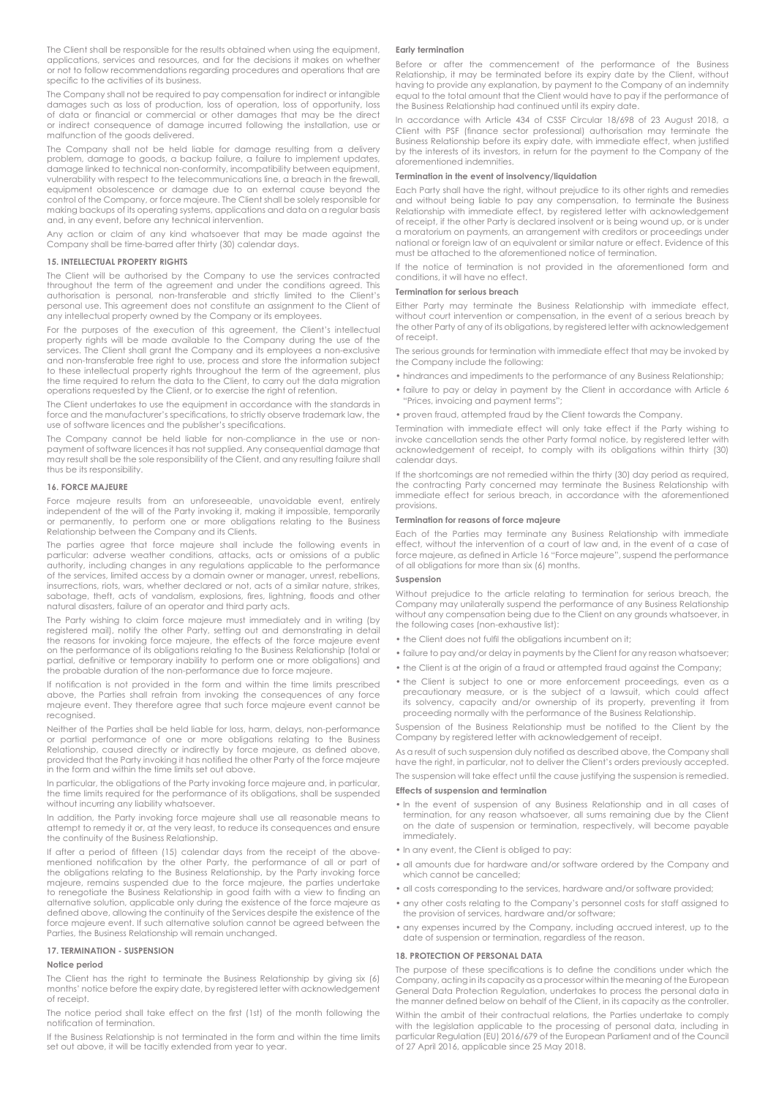The Client shall be responsible for the results obtained when using the equipment, applications, services and resources, and for the decisions it makes on whether or not to follow recommendations regarding procedures and operations that are specific to the activities of its business.

The Company shall not be required to pay compensation for indirect or intangible damages such as loss of production, loss of operation, loss of opportunity, loss of data or financial or commercial or other damages that may be the direct or indirect consequence of damage incurred following the installation, use or malfunction of the goods delivered.

The Company shall not be held liable for damage resulting from a delivery problem, damage to goods, a backup failure, a failure to implement updates, damage linked to technical non-conformity, incompatibility between equipment, vulnerability with respect to the telecommunications line, a breach in the firewall, equipment obsolescence or damage due to an external cause beyond the control of the Company, or force majeure. The Client shall be solely responsible for making backups of its operating systems, applications and data on a regular basis and, in any event, before any technical intervention.

Any action or claim of any kind whatsoever that may be made against the Company shall be time-barred after thirty (30) calendar days.

#### **15. INTELLECTUAL PROPERTY RIGHTS**

The Client will be authorised by the Company to use the services contracted throughout the term of the agreement and under the conditions agreed. This authorisation is personal, non-transferable and strictly limited to the Client's personal use. This agreement does not constitute an assignment to the Client of any intellectual property owned by the Company or its employees.

For the purposes of the execution of this agreement, the Client's intellectual property rights will be made available to the Company during the use of the services. The Client shall grant the Company and its employees a non-exclusive and non-transferable free right to use, process and store the information subject to these intellectual property rights throughout the term of the agreement, plus the time required to return the data to the Client, to carry out the data migration operations requested by the Client, or to exercise the right of retention.

The Client undertakes to use the equipment in accordance with the standards in force and the manufacturer's specifications, to strictly observe trademark law, the use of software licences and the publisher's specifications.

The Company cannot be held liable for non-compliance in the use or nonpayment of software licences it has not supplied. Any consequential damage that may result shall be the sole responsibility of the Client, and any resulting failure shall thus be its responsibility.

#### **16. FORCE MAJEURE**

Force majeure results from an unforeseeable, unavoidable event, entirely independent of the will of the Party invoking it, making it impossible, temporarily or permanently, to perform one or more obligations relating to the Business Relationship between the Company and its Clients.

The parties agree that force majeure shall include the following events in particular: adverse weather conditions, attacks, acts or omissions of a public authority, including changes in any regulations applicable to the performance of the services, limited access by a domain owner or manager, unrest, rebellions, insurrections, riots, wars, whether declared or not, acts of a similar nature, strikes, sabotage, theft, acts of vandalism, explosions, fires, lightning, floods and other natural disasters, failure of an operator and third party acts.

The Party wishing to claim force majeure must immediately and in writing (by<br>registered mail), notify the other Party, setting out and demonstrating in detail<br>the reasons for invoking force majeure, the effects of the forc on the performance of its obligations relating to the Business Relationship (total or partial, definitive or temporary inability to perform one or more obligations) and the probable duration of the non-performance due to force majeure.

If notification is not provided in the form and within the time limits prescribed above, the Parties shall refrain from invoking the consequences of any force majeure event. They therefore agree that such force majeure event cannot be recognised.

Neither of the Parties shall be held liable for loss, harm, delays, non-performance or partial performance of one or more obligations relating to the Business Relationship, caused directly or indirectly by force majeure, as defined above, provided that the Party invoking it has notified the other Party of the force majeure in the form and within the time limits set out above.

In particular, the obligations of the Party invoking force majeure and, in particular, the time limits required for the performance of its obligations, shall be suspended without incurring any liability whatsoever.

In addition, the Party invoking force majeure shall use all reasonable means to attempt to remedy it or, at the very least, to reduce its consequences and ensure the continuity of the Business Relationship.

If after a period of fifteen (15) calendar days from the receipt of the abovementioned notification by the other Party, the performance of all or part of the obligations relating to the Business Relationship, by the Party invoking force majeure, remains suspended due to the force majeure, the parties undertake to renegotiate the Business Relationship in good faith with a view to finding an alternative solution, applicable only during the existence of the force majeure as defined above, allowing the continuity of the Services despite the existence of the force majeure event. If such alternative solution cannot be agreed between the Parties, the Business Relationship will remain unchanged.

# **17. TERMINATION - SUSPENSION**

# **Notice period**

The Client has the right to terminate the Business Relationship by giving six (6) months' notice before the expiry date, by registered letter with acknowledgement of receipt.

The notice period shall take effect on the first (1st) of the month following the notification of termination.

If the Business Relationship is not terminated in the form and within the time limits set out above, it will be tacitly extended from year to year.

# **Early termination**

Before or after the commencement of the performance of the Business Relationship, it may be terminated before its expiry date by the Client, without having to provide any explanation, by payment to the Company of an indemnity equal to the total amount that the Client would have to pay if the performance of the Business Relationship had continued until its expiry date.

In accordance with Article 434 of CSSF Circular 18/698 of 23 August 2018, a Client with PSF (finance sector professional) authorisation may terminate the Business Relationship before its expiry date, with immediate effect, when justified by the interests of its investors, in return for the payment to the Company of the aforementioned indemnities.

# **Termination in the event of insolvency/liquidation**

Each Party shall have the right, without prejudice to its other rights and remedies and without being liable to pay any compensation, to terminate the Business Relationship with immediate effect, by registered letter with acknowledgement of receipt, if the other Party is declared insolvent or is being wound up, or is under a moratorium on payments, an arrangement with creditors or proceedings under national or foreign law of an equivalent or similar nature or effect. Evidence of this must be attached to the aforementioned notice of termination.

If the notice of termination is not provided in the aforementioned form and conditions, it will have no effect.

# **Termination for serious breach**

Either Party may terminate the Business Relationship with immediate effect, without court intervention or compensation, in the event of a serious breach by the other Party of any of its obligations, by registered letter with acknowledgement of receipt.

The serious grounds for termination with immediate effect that may be invoked by the Company include the following:

- hindrances and impediments to the performance of any Business Relationship;
- failure to pay or delay in payment by the Client in accordance with Article 6 "Prices, invoicing and payment terms";
- proven fraud, attempted fraud by the Client towards the Company.

Termination with immediate effect will only take effect if the Party wishing to invoke cancellation sends the other Party formal notice, by registered letter with acknowledgement of receipt, to comply with its obligations within thirty (30) calendar days.

If the shortcomings are not remedied within the thirty (30) day period as required, the contracting Party concerned may terminate the Business Relationship with immediate effect for serious breach, in accordance with the aforementioned provisions.

# **Termination for reasons of force majeure**

Each of the Parties may terminate any Business Relationship with immediate effect, without the intervention of a court of law and, in the event of a case of force majeure, as defined in Article 16 "Force majeure", suspend the performance of all obligations for more than six (6) months.

#### **Suspension**

Without prejudice to the article relating to termination for serious breach, the Company may unilaterally suspend the performance of any Business Relationship without any compensation being due to the Client on any grounds whatsoever, in the following cases (non-exhaustive list):

- the Client does not fulfil the obligations incumbent on it:
- failure to pay and/or delay in payments by the Client for any reason whatsoever;
- the Client is at the origin of a fraud or attempted fraud against the Company;
- the Client is subject to one or more enforcement proceedings, even as a precautionary measure, or is the subject of a lawsuit, which could affect its solvency, capacity and/or ownership of its property, preventing it from proceeding normally with the performance of the Business Relationship.

Suspension of the Business Relationship must be notified to the Client by the Company by registered letter with acknowledgement of receipt.

As a result of such suspension duly notified as described above, the Company shall have the right, in particular, not to deliver the Client's orders previously accepted.

The suspension will take effect until the cause justifying the suspension is remedied. **Effects of suspension and termination**

- In the event of suspension of any Business Relationship and in all cases of termination, for any reason whatsoever, all sums remaining due by the Client on the date of suspension or termination, respectively, will become payable immediately.
- In any event, the Client is obliged to pay:
- all amounts due for hardware and/or software ordered by the Company and which cannot be cancelled;
- all costs corresponding to the services, hardware and/or software provided;
- any other costs relating to the Company's personnel costs for staff assigned to the provision of services, hardware and/or software;
- any expenses incurred by the Company, including accrued interest, up to the date of suspension or termination, regardless of the reason.

#### **18. PROTECTION OF PERSONAL DATA**

The purpose of these specifications is to define the conditions under which the Company, acting in its capacity as a processor within the meaning of the European General Data Protection Regulation, undertakes to process the personal data in the manner defined below on behalf of the Client, in its capacity as the controller.

Within the ambit of their contractual relations, the Parties undertake to comply with the legislation applicable to the processing of personal data, including in particular Regulation (EU) 2016/679 of the European Parliament and of the Council of 27 April 2016, applicable since 25 May 2018.